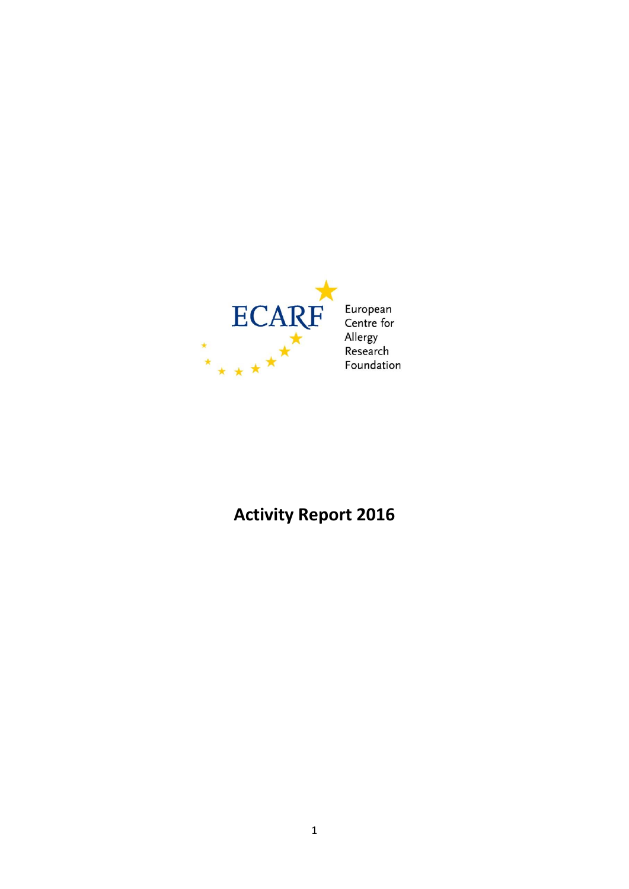

**Activity Report 2016**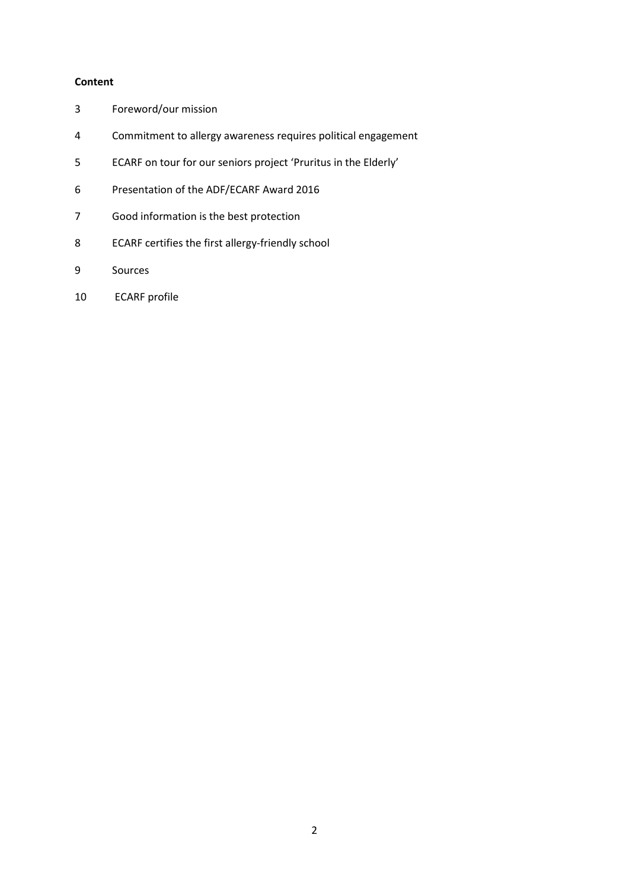# **Content**

- Foreword/our mission
- Commitment to allergy awareness requires political engagement
- ECARF on tour for our seniors project 'Pruritus in the Elderly'
- Presentation of the ADF/ECARF Award 2016
- Good information is the best protection
- ECARF certifies the first allergy-friendly school
- 9 Sources
- ECARF profile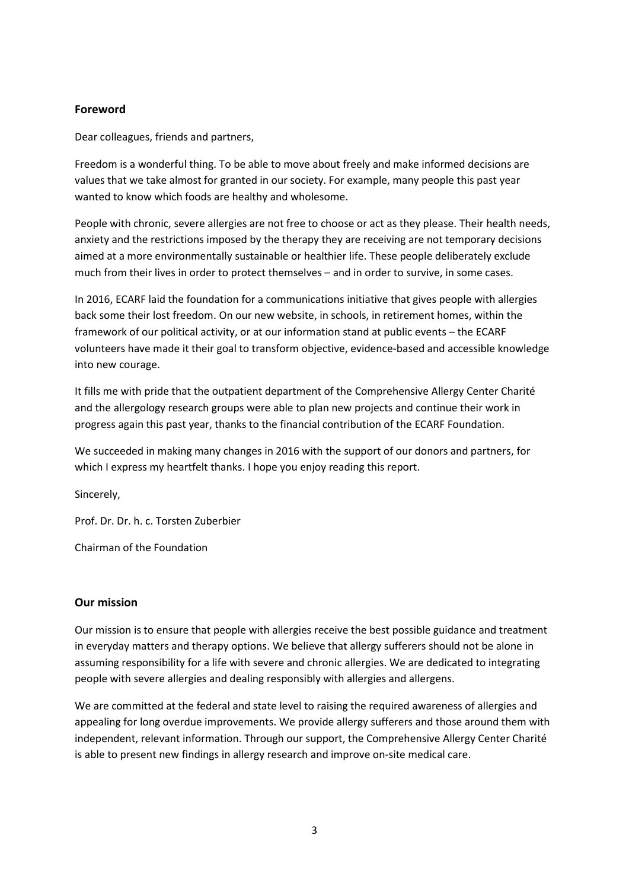# **Foreword**

Dear colleagues, friends and partners,

Freedom is a wonderful thing. To be able to move about freely and make informed decisions are values that we take almost for granted in our society. For example, many people this past year wanted to know which foods are healthy and wholesome.

People with chronic, severe allergies are not free to choose or act as they please. Their health needs, anxiety and the restrictions imposed by the therapy they are receiving are not temporary decisions aimed at a more environmentally sustainable or healthier life. These people deliberately exclude much from their lives in order to protect themselves – and in order to survive, in some cases.

In 2016, ECARF laid the foundation for a communications initiative that gives people with allergies back some their lost freedom. On our new website, in schools, in retirement homes, within the framework of our political activity, or at our information stand at public events – the ECARF volunteers have made it their goal to transform objective, evidence-based and accessible knowledge into new courage.

It fills me with pride that the outpatient department of the Comprehensive Allergy Center Charité and the allergology research groups were able to plan new projects and continue their work in progress again this past year, thanks to the financial contribution of the ECARF Foundation.

We succeeded in making many changes in 2016 with the support of our donors and partners, for which I express my heartfelt thanks. I hope you enjoy reading this report.

Sincerely,

Prof. Dr. Dr. h. c. Torsten Zuberbier

Chairman of the Foundation

# **Our mission**

Our mission is to ensure that people with allergies receive the best possible guidance and treatment in everyday matters and therapy options. We believe that allergy sufferers should not be alone in assuming responsibility for a life with severe and chronic allergies. We are dedicated to integrating people with severe allergies and dealing responsibly with allergies and allergens.

We are committed at the federal and state level to raising the required awareness of allergies and appealing for long overdue improvements. We provide allergy sufferers and those around them with independent, relevant information. Through our support, the Comprehensive Allergy Center Charité is able to present new findings in allergy research and improve on-site medical care.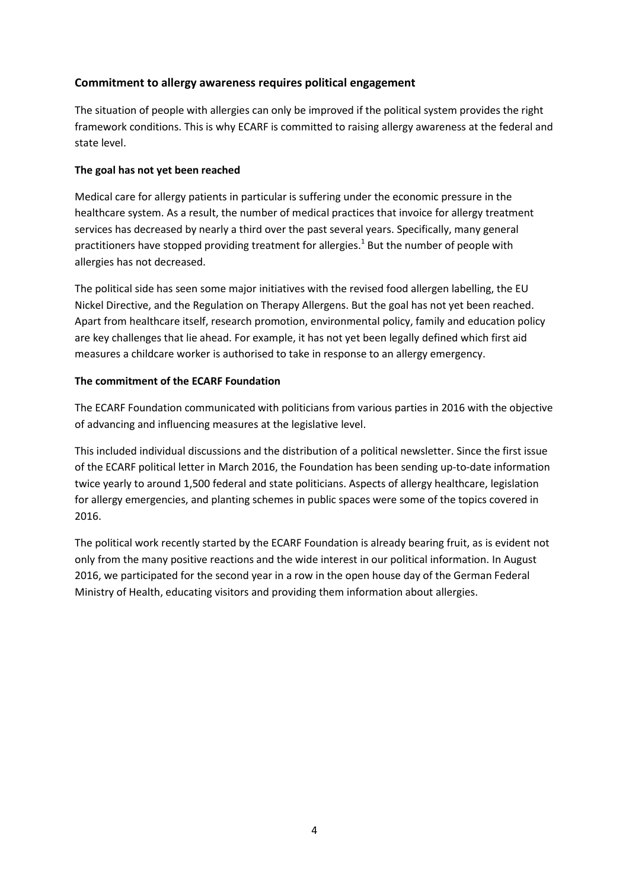# **Commitment to allergy awareness requires political engagement**

The situation of people with allergies can only be improved if the political system provides the right framework conditions. This is why ECARF is committed to raising allergy awareness at the federal and state level.

# **The goal has not yet been reached**

Medical care for allergy patients in particular is suffering under the economic pressure in the healthcare system. As a result, the number of medical practices that invoice for allergy treatment services has decreased by nearly a third over the past several years. Specifically, many general practitioners have stopped providing treatment for allergies.<sup>1</sup> But the number of people with allergies has not decreased.

The political side has seen some major initiatives with the revised food allergen labelling, the EU Nickel Directive, and the Regulation on Therapy Allergens. But the goal has not yet been reached. Apart from healthcare itself, research promotion, environmental policy, family and education policy are key challenges that lie ahead. For example, it has not yet been legally defined which first aid measures a childcare worker is authorised to take in response to an allergy emergency.

# **The commitment of the ECARF Foundation**

The ECARF Foundation communicated with politicians from various parties in 2016 with the objective of advancing and influencing measures at the legislative level.

This included individual discussions and the distribution of a political newsletter. Since the first issue of the ECARF political letter in March 2016, the Foundation has been sending up-to-date information twice yearly to around 1,500 federal and state politicians. Aspects of allergy healthcare, legislation for allergy emergencies, and planting schemes in public spaces were some of the topics covered in 2016.

The political work recently started by the ECARF Foundation is already bearing fruit, as is evident not only from the many positive reactions and the wide interest in our political information. In August 2016, we participated for the second year in a row in the open house day of the German Federal Ministry of Health, educating visitors and providing them information about allergies.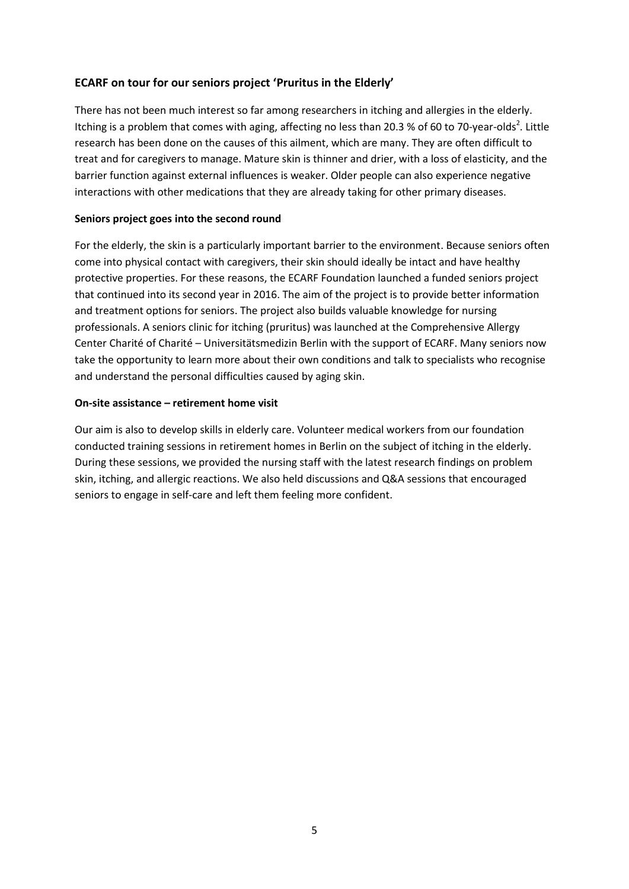# **ECARF on tour for our seniors project 'Pruritus in the Elderly'**

There has not been much interest so far among researchers in itching and allergies in the elderly. Itching is a problem that comes with aging, affecting no less than 20.3 % of 60 to 70-year-olds<sup>2</sup>. Little research has been done on the causes of this ailment, which are many. They are often difficult to treat and for caregivers to manage. Mature skin is thinner and drier, with a loss of elasticity, and the barrier function against external influences is weaker. Older people can also experience negative interactions with other medications that they are already taking for other primary diseases.

## **Seniors project goes into the second round**

For the elderly, the skin is a particularly important barrier to the environment. Because seniors often come into physical contact with caregivers, their skin should ideally be intact and have healthy protective properties. For these reasons, the ECARF Foundation launched a funded seniors project that continued into its second year in 2016. The aim of the project is to provide better information and treatment options for seniors. The project also builds valuable knowledge for nursing professionals. A seniors clinic for itching (pruritus) was launched at the Comprehensive Allergy Center Charité of Charité – Universitätsmedizin Berlin with the support of ECARF. Many seniors now take the opportunity to learn more about their own conditions and talk to specialists who recognise and understand the personal difficulties caused by aging skin.

#### **On-site assistance – retirement home visit**

Our aim is also to develop skills in elderly care. Volunteer medical workers from our foundation conducted training sessions in retirement homes in Berlin on the subject of itching in the elderly. During these sessions, we provided the nursing staff with the latest research findings on problem skin, itching, and allergic reactions. We also held discussions and Q&A sessions that encouraged seniors to engage in self-care and left them feeling more confident.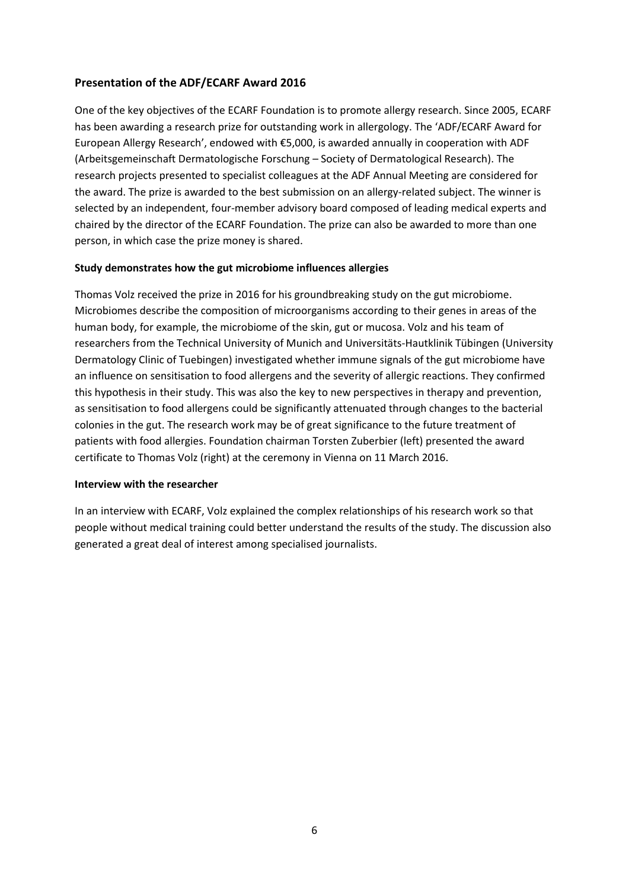# **Presentation of the ADF/ECARF Award 2016**

One of the key objectives of the ECARF Foundation is to promote allergy research. Since 2005, ECARF has been awarding a research prize for outstanding work in allergology. The 'ADF/ECARF Award for European Allergy Research', endowed with €5,000, is awarded annually in cooperation with ADF (Arbeitsgemeinschaft Dermatologische Forschung – Society of Dermatological Research). The research projects presented to specialist colleagues at the ADF Annual Meeting are considered for the award. The prize is awarded to the best submission on an allergy-related subject. The winner is selected by an independent, four-member advisory board composed of leading medical experts and chaired by the director of the ECARF Foundation. The prize can also be awarded to more than one person, in which case the prize money is shared.

### **Study demonstrates how the gut microbiome influences allergies**

Thomas Volz received the prize in 2016 for his groundbreaking study on the gut microbiome. Microbiomes describe the composition of microorganisms according to their genes in areas of the human body, for example, the microbiome of the skin, gut or mucosa. Volz and his team of researchers from the Technical University of Munich and Universitäts-Hautklinik Tübingen (University Dermatology Clinic of Tuebingen) investigated whether immune signals of the gut microbiome have an influence on sensitisation to food allergens and the severity of allergic reactions. They confirmed this hypothesis in their study. This was also the key to new perspectives in therapy and prevention, as sensitisation to food allergens could be significantly attenuated through changes to the bacterial colonies in the gut. The research work may be of great significance to the future treatment of patients with food allergies. Foundation chairman Torsten Zuberbier (left) presented the award certificate to Thomas Volz (right) at the ceremony in Vienna on 11 March 2016.

## **Interview with the researcher**

In an interview with ECARF, Volz explained the complex relationships of his research work so that people without medical training could better understand the results of the study. The discussion also generated a great deal of interest among specialised journalists.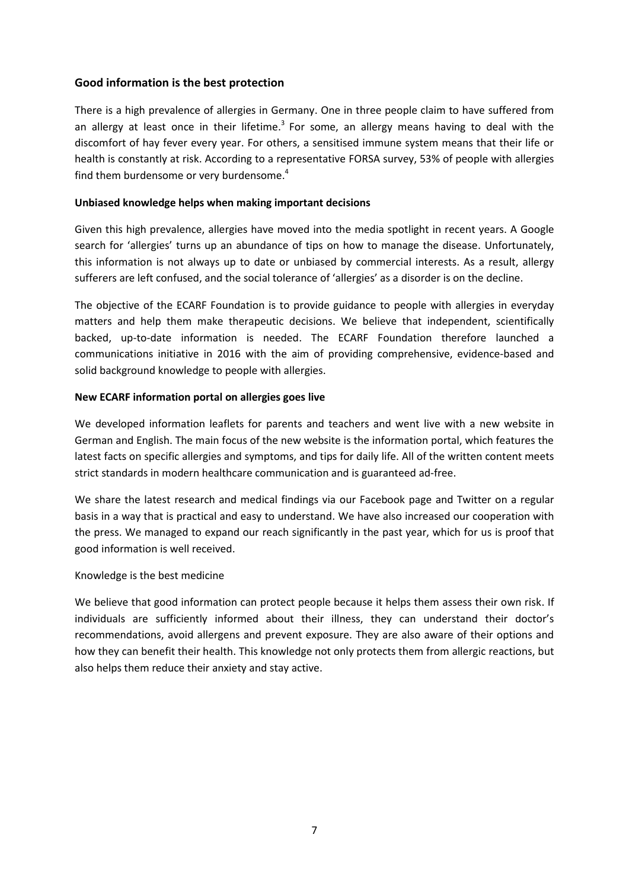# **Good information is the best protection**

There is a high prevalence of allergies in Germany. One in three people claim to have suffered from an allergy at least once in their lifetime.<sup>3</sup> For some, an allergy means having to deal with the discomfort of hay fever every year. For others, a sensitised immune system means that their life or health is constantly at risk. According to a representative FORSA survey, 53% of people with allergies find them burdensome or very burdensome.<sup>4</sup>

### **Unbiased knowledge helps when making important decisions**

Given this high prevalence, allergies have moved into the media spotlight in recent years. A Google search for 'allergies' turns up an abundance of tips on how to manage the disease. Unfortunately, this information is not always up to date or unbiased by commercial interests. As a result, allergy sufferers are left confused, and the social tolerance of 'allergies' as a disorder is on the decline.

The objective of the ECARF Foundation is to provide guidance to people with allergies in everyday matters and help them make therapeutic decisions. We believe that independent, scientifically backed, up-to-date information is needed. The ECARF Foundation therefore launched a communications initiative in 2016 with the aim of providing comprehensive, evidence-based and solid background knowledge to people with allergies.

### **New ECARF information portal on allergies goes live**

We developed information leaflets for parents and teachers and went live with a new website in German and English. The main focus of the new website is the information portal, which features the latest facts on specific allergies and symptoms, and tips for daily life. All of the written content meets strict standards in modern healthcare communication and is guaranteed ad-free.

We share the latest research and medical findings via our Facebook page and Twitter on a regular basis in a way that is practical and easy to understand. We have also increased our cooperation with the press. We managed to expand our reach significantly in the past year, which for us is proof that good information is well received.

#### Knowledge is the best medicine

We believe that good information can protect people because it helps them assess their own risk. If individuals are sufficiently informed about their illness, they can understand their doctor's recommendations, avoid allergens and prevent exposure. They are also aware of their options and how they can benefit their health. This knowledge not only protects them from allergic reactions, but also helps them reduce their anxiety and stay active.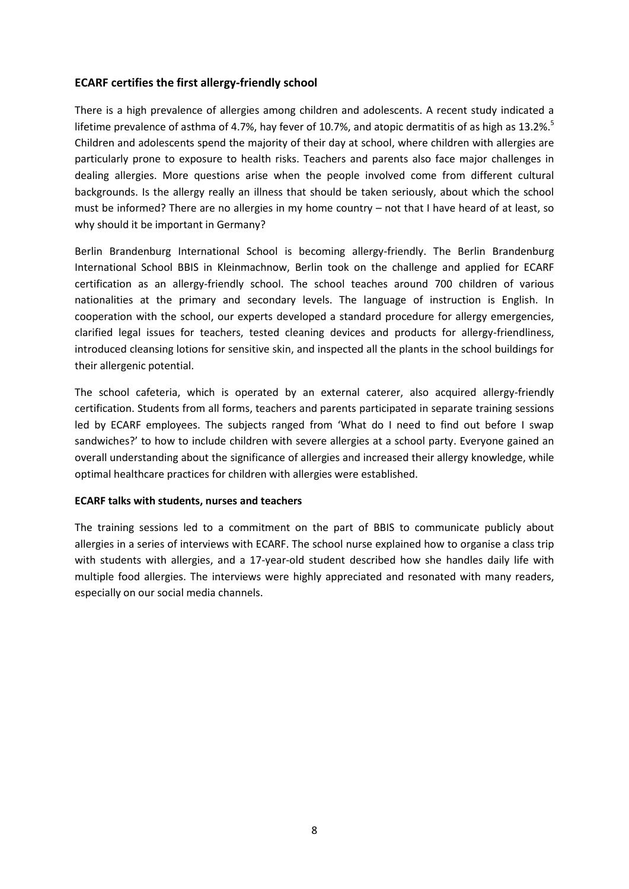# **ECARF certifies the first allergy-friendly school**

There is a high prevalence of allergies among children and adolescents. A recent study indicated a lifetime prevalence of asthma of 4.7%, hay fever of 10.7%, and atopic dermatitis of as high as 13.2%.<sup>5</sup> Children and adolescents spend the majority of their day at school, where children with allergies are particularly prone to exposure to health risks. Teachers and parents also face major challenges in dealing allergies. More questions arise when the people involved come from different cultural backgrounds. Is the allergy really an illness that should be taken seriously, about which the school must be informed? There are no allergies in my home country – not that I have heard of at least, so why should it be important in Germany?

Berlin Brandenburg International School is becoming allergy-friendly. The Berlin Brandenburg International School BBIS in Kleinmachnow, Berlin took on the challenge and applied for ECARF certification as an allergy-friendly school. The school teaches around 700 children of various nationalities at the primary and secondary levels. The language of instruction is English. In cooperation with the school, our experts developed a standard procedure for allergy emergencies, clarified legal issues for teachers, tested cleaning devices and products for allergy-friendliness, introduced cleansing lotions for sensitive skin, and inspected all the plants in the school buildings for their allergenic potential.

The school cafeteria, which is operated by an external caterer, also acquired allergy-friendly certification. Students from all forms, teachers and parents participated in separate training sessions led by ECARF employees. The subjects ranged from 'What do I need to find out before I swap sandwiches?' to how to include children with severe allergies at a school party. Everyone gained an overall understanding about the significance of allergies and increased their allergy knowledge, while optimal healthcare practices for children with allergies were established.

#### **ECARF talks with students, nurses and teachers**

The training sessions led to a commitment on the part of BBIS to communicate publicly about allergies in a series of interviews with ECARF. The school nurse explained how to organise a class trip with students with allergies, and a 17-year-old student described how she handles daily life with multiple food allergies. The interviews were highly appreciated and resonated with many readers, especially on our social media channels.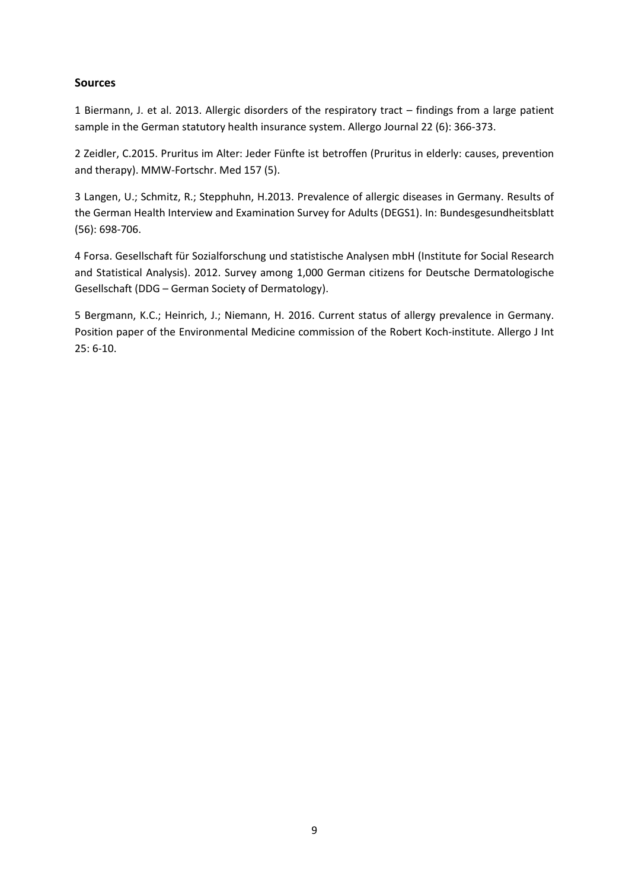### **Sources**

1 Biermann, J. et al. 2013. Allergic disorders of the respiratory tract – findings from a large patient sample in the German statutory health insurance system. Allergo Journal 22 (6): 366-373.

2 Zeidler, C.2015. Pruritus im Alter: Jeder Fünfte ist betroffen (Pruritus in elderly: causes, prevention and therapy). MMW-Fortschr. Med 157 (5).

3 Langen, U.; Schmitz, R.; Stepphuhn, H.2013. Prevalence of allergic diseases in Germany. Results of the German Health Interview and Examination Survey for Adults (DEGS1). In: Bundesgesundheitsblatt (56): 698-706.

4 Forsa. Gesellschaft für Sozialforschung und statistische Analysen mbH (Institute for Social Research and Statistical Analysis). 2012. Survey among 1,000 German citizens for Deutsche Dermatologische Gesellschaft (DDG – German Society of Dermatology).

5 Bergmann, K.C.; Heinrich, J.; Niemann, H. 2016. Current status of allergy prevalence in Germany. Position paper of the Environmental Medicine commission of the Robert Koch-institute. Allergo J Int 25: 6-10.